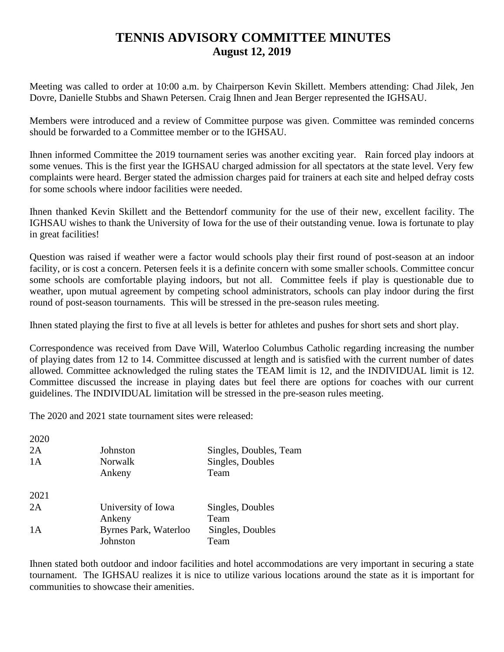## **TENNIS ADVISORY COMMITTEE MINUTES August 12, 2019**

Meeting was called to order at 10:00 a.m. by Chairperson Kevin Skillett. Members attending: Chad Jilek, Jen Dovre, Danielle Stubbs and Shawn Petersen. Craig Ihnen and Jean Berger represented the IGHSAU.

Members were introduced and a review of Committee purpose was given. Committee was reminded concerns should be forwarded to a Committee member or to the IGHSAU.

Ihnen informed Committee the 2019 tournament series was another exciting year. Rain forced play indoors at some venues. This is the first year the IGHSAU charged admission for all spectators at the state level. Very few complaints were heard. Berger stated the admission charges paid for trainers at each site and helped defray costs for some schools where indoor facilities were needed.

Ihnen thanked Kevin Skillett and the Bettendorf community for the use of their new, excellent facility. The IGHSAU wishes to thank the University of Iowa for the use of their outstanding venue. Iowa is fortunate to play in great facilities!

Question was raised if weather were a factor would schools play their first round of post-season at an indoor facility, or is cost a concern. Petersen feels it is a definite concern with some smaller schools. Committee concur some schools are comfortable playing indoors, but not all. Committee feels if play is questionable due to weather, upon mutual agreement by competing school administrators, schools can play indoor during the first round of post-season tournaments. This will be stressed in the pre-season rules meeting.

Ihnen stated playing the first to five at all levels is better for athletes and pushes for short sets and short play.

Correspondence was received from Dave Will, Waterloo Columbus Catholic regarding increasing the number of playing dates from 12 to 14. Committee discussed at length and is satisfied with the current number of dates allowed. Committee acknowledged the ruling states the TEAM limit is 12, and the INDIVIDUAL limit is 12. Committee discussed the increase in playing dates but feel there are options for coaches with our current guidelines. The INDIVIDUAL limitation will be stressed in the pre-season rules meeting.

The 2020 and 2021 state tournament sites were released:

| 2020 |                       |                        |
|------|-----------------------|------------------------|
| 2A   | Johnston              | Singles, Doubles, Team |
| 1A   | <b>Norwalk</b>        | Singles, Doubles       |
|      | Ankeny                | Team                   |
| 2021 |                       |                        |
| 2A   | University of Iowa    | Singles, Doubles       |
|      | Ankeny                | Team                   |
| 1A   | Byrnes Park, Waterloo | Singles, Doubles       |
|      | Johnston              | Team                   |

Ihnen stated both outdoor and indoor facilities and hotel accommodations are very important in securing a state tournament. The IGHSAU realizes it is nice to utilize various locations around the state as it is important for communities to showcase their amenities.